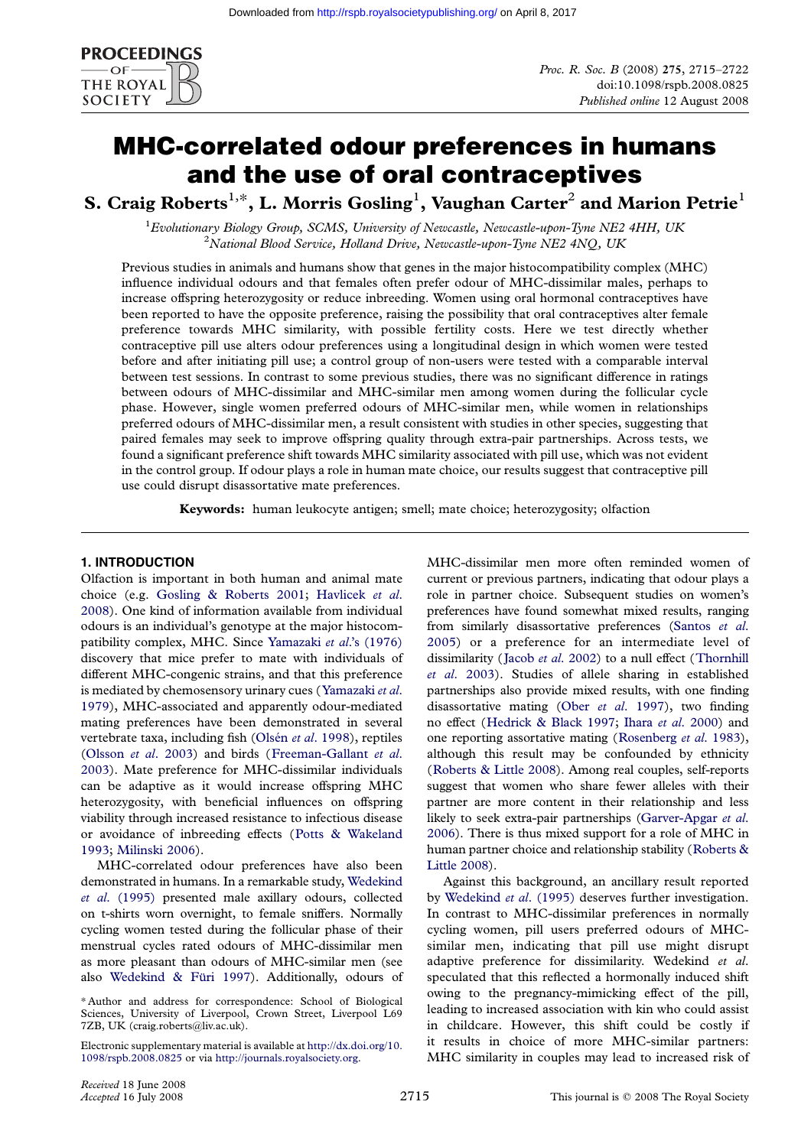

# MHC-correlated odour preferences in humans and the use of oral contraceptives

S. Craig Roberts $^{1,\ast}$ , L. Morris Gosling $^1$ , Vaughan Carter $^2$  and Marion Petrie $^1$ 

<sup>1</sup> Evolutionary Biology Group, SCMS, University of Newcastle, Newcastle-upon-Tyne NE2 4HH, UK<br> $\frac{2 \text{ National Black Series}}{2 \text{-dimensional Black Series}}$  $N$ <sup>2</sup>National Blood Service, Holland Drive, Newcastle-upon-Tyne NE2 4NQ, UK

Previous studies in animals and humans show that genes in the major histocompatibility complex (MHC) influence individual odours and that females often prefer odour of MHC-dissimilar males, perhaps to increase offspring heterozygosity or reduce inbreeding. Women using oral hormonal contraceptives have been reported to have the opposite preference, raising the possibility that oral contraceptives alter female preference towards MHC similarity, with possible fertility costs. Here we test directly whether contraceptive pill use alters odour preferences using a longitudinal design in which women were tested before and after initiating pill use; a control group of non-users were tested with a comparable interval between test sessions. In contrast to some previous studies, there was no significant difference in ratings between odours of MHC-dissimilar and MHC-similar men among women during the follicular cycle phase. However, single women preferred odours of MHC-similar men, while women in relationships preferred odours of MHC-dissimilar men, a result consistent with studies in other species, suggesting that paired females may seek to improve offspring quality through extra-pair partnerships. Across tests, we found a significant preference shift towards MHC similarity associated with pill use, which was not evident in the control group. If odour plays a role in human mate choice, our results suggest that contraceptive pill use could disrupt disassortative mate preferences.

Keywords: human leukocyte antigen; smell; mate choice; heterozygosity; olfaction

# 1. INTRODUCTION

Olfaction is important in both human and animal mate choice (e.g. Gosling & Roberts 2001; Havlicek et al. 2008). One kind of information available from individual odours is an individual's genotype at the major histocompatibility complex, MHC. Since Yamazaki et al.'s (1976) discovery th[at mice prefer to mate wi](#page-7-0)t[h individuals of](#page-7-0) [differ](#page-7-0)ent MHC-congenic strains, and that this preference is mediated by chemosensory urinary cues (Yamazaki et al. 1979), MHC-associated and ap[parently odour-mediated](#page-7-0) mating preferences have been demonstrated in several vertebrate taxa, including fish (Olsén et al. 1998), reptiles (Olsson et al. 2003) and birds (Freema[n-Gallant](#page-7-0) et al. [2003](#page-7-0)). Mate preference for MHC-dissimilar individuals can be adaptive as it would increase offspring MHC heterozygosity, with beneficia[l influences on](#page-7-0) offspring [viability through incr](#page-7-0)eased resista[nce to infectious disease](#page-7-0) [or av](#page-7-0)oidance of inbreeding effects (Potts & Wakeland 1993; Milinski 2006).

MHC-correlated odour preferences have also been demonstrated in humans. In a remarkable study, Wedekind et al. (1995) presented male axillar[y odours, collected](#page-7-0) [on t-](#page-7-0)s[hirts worn ove](#page-7-0)rnight, to female sniffers. Normally cycling women tested during the follicular phase of their menstrual cycles rated odours of MHC-dissi[milar men](#page-7-0) [as more pleas](#page-7-0)ant than odours of MHC-similar men (see also Wedekind & Füri 1997). Additionally, odours of

Electr[onic supplementary material is](#page-7-0) available at http://dx.doi.org/10. 1098/rspb.2008.0825 or via http://journals.royalsociety.org.

MHC-dissimilar men more often reminded women of current or previous partners, indicating that odour plays a role in partner choice. Subsequent studies on women's preferences have found somewhat mixed results, ranging from similarly disassortative preferences (Santos et al. 2005) or a preference for an intermediate level of dissimilarity (Jacob et al. 2002) to a null effect (Thornhill et al. 2003). Studies of allele sharing in established partnerships also provide mixed results, wit[h one finding](#page-7-0) [disass](#page-7-0)ortative mating (Ober et al. 1997), two finding no effect (He[drick & Black 19](#page-7-0)97; Ihara et al. [2000\) and](#page-7-0) [one reportin](#page-7-0)g assortative mating (Rosenberg et al. 1983), although this result may be confounded by ethnicity (Roberts & Little 2008)[. Among real coup](#page-7-0)les, self-reports suggest th[at women who share](#page-7-0) f[ewer alleles with](#page-7-0) their partner are more content in the[ir relationship and les](#page-7-0)s likely to seek extra-pair partnerships (Garver-Apgar et al. [2006\). There is thus m](#page-7-0)ixed support for a role of MHC in human partner choice and relationship stability (Roberts & Little 2008).

Against this background, an ancil[lary result reported](#page-7-0) [by](#page-7-0) Wedekind et al. (1995) deserves further investigation. In contrast to MHC-dissimilar preferences i[n normally](#page-7-0) [cycling wo](#page-7-0)men, pill users preferred odours of MHCsimilar men, indicating that pill use might disrupt ad[aptive preference for d](#page-7-0)issimilarity. Wedekind et al. speculated that this reflected a hormonally induced shift owing to the pregnancy-mimicking effect of the pill, leading to increased association with kin who could assist in childcare. However, this shift could be costly if it results in choice of more MHC-similar partners: MHC similarity in couples may lead to increased risk of

<sup>\*</sup> Author and address for correspondence: School of Biological Sciences, University of Liverpool, Crown Street, Liverpool L69 7ZB, UK (craig.roberts@liv.ac.uk).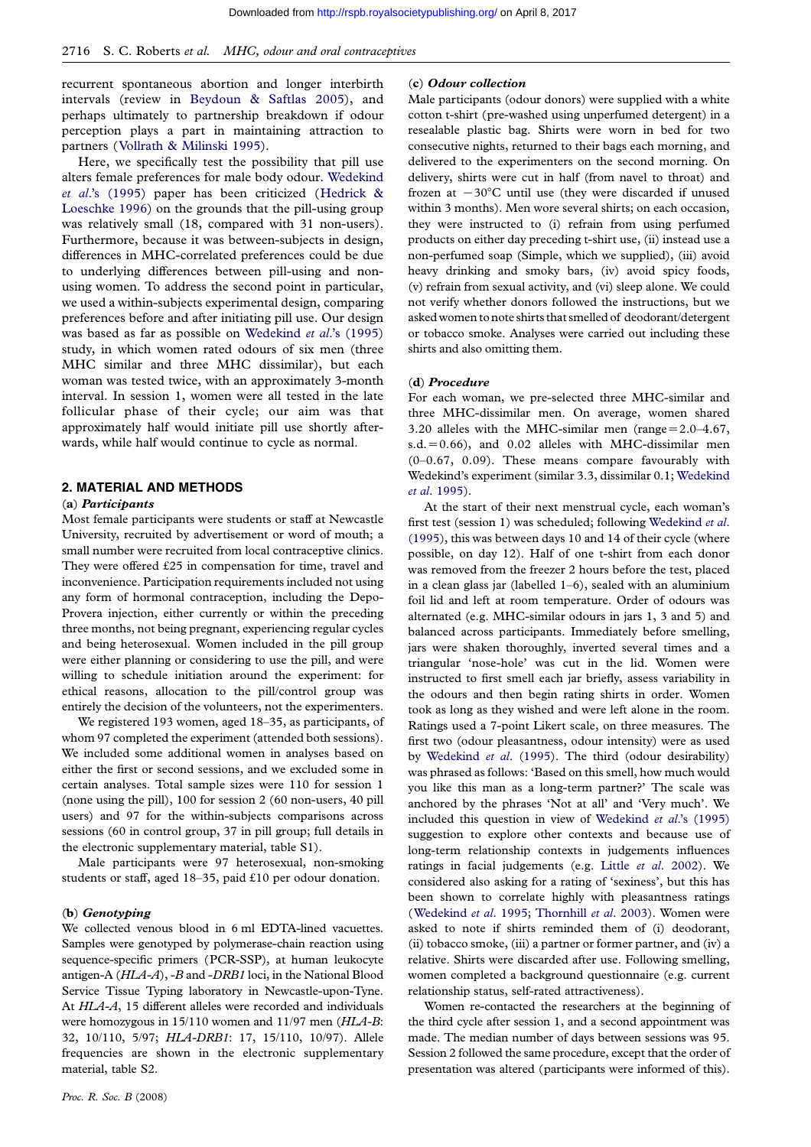recurrent spontaneous abortion and longer interbirth intervals (review in Beydoun & Saftlas 2005), and perhaps ultimately to partnership breakdown if odour perception plays a part in maintaining attraction to partners (Vollrath & Milinski 1995).

Here, we specifical[ly test the possibility that p](#page-6-0)ill use alters female preferences for male body odour. Wedekind et al.'s (1995) paper has been criticized (Hedrick & Loeschke [1996\) on the grounds tha](#page-7-0)t the pill-using group was relatively small (18, compared with 31 non-users). Furthermore, because it was between-subjects [in design,](#page-7-0) [differences in M](#page-7-0)HC-correlated preferences c[ould be due](#page-7-0) [to underlying](#page-7-0) differences between pill-using and nonusing women. To address the second point in particular, we used a within-subjects experimental design, comparing preferences before and after initiating pill use. Our design was based as far as possible on Wedekind et al.'s (1995) study, in which women rated odours of six men (three MHC similar and three MHC dissimilar), but each woman was tested twice, with an approximately 3-month interval. In session 1, women [were all tested in the late](#page-7-0) follicular phase of their cycle; our aim was that approximately half would initiate pill use shortly afterwards, while half would continue to cycle as normal.

### 2. MATERIAL AND METHODS

#### (a) Participants

Most female participants were students or staff at Newcastle University, recruited by advertisement or word of mouth; a small number were recruited from local contraceptive clinics. They were offered £25 in compensation for time, travel and inconvenience. Participation requirements included not using any form of hormonal contraception, including the Depo-Provera injection, either currently or within the preceding three months, not being pregnant, experiencing regular cycles and being heterosexual. Women included in the pill group were either planning or considering to use the pill, and were willing to schedule initiation around the experiment: for ethical reasons, allocation to the pill/control group was entirely the decision of the volunteers, not the experimenters.

We registered 193 women, aged 18–35, as participants, of whom 97 completed the experiment (attended both sessions). We included some additional women in analyses based on either the first or second sessions, and we excluded some in certain analyses. Total sample sizes were 110 for session 1 (none using the pill), 100 for session 2 (60 non-users, 40 pill users) and 97 for the within-subjects comparisons across sessions (60 in control group, 37 in pill group; full details in the electronic supplementary material, table S1).

Male participants were 97 heterosexual, non-smoking students or staff, aged 18–35, paid £10 per odour donation.

#### (b) Genotyping

We collected venous blood in 6 ml EDTA-lined vacuettes. Samples were genotyped by polymerase-chain reaction using sequence-specific primers (PCR-SSP), at human leukocyte antigen-A (HLA-A), -B and -DRB1 loci, in the National Blood Service Tissue Typing laboratory in Newcastle-upon-Tyne. At HLA-A, 15 different alleles were recorded and individuals were homozygous in 15/110 women and 11/97 men (HLA-B: 32, 10/110, 5/97; HLA-DRB1: 17, 15/110, 10/97). Allele frequencies are shown in the electronic supplementary material, table S2.

# (c) [Odour collec](http://rspb.royalsocietypublishing.org/)tion

Male participants (odour donors) were supplied with a white cotton t-shirt (pre-washed using unperfumed detergent) in a resealable plastic bag. Shirts were worn in bed for two consecutive nights, returned to their bags each morning, and delivered to the experimenters on the second morning. On delivery, shirts were cut in half (from navel to throat) and frozen at  $-30^{\circ}$ C until use (they were discarded if unused within 3 months). Men wore several shirts; on each occasion, they were instructed to (i) refrain from using perfumed products on either day preceding t-shirt use, (ii) instead use a non-perfumed soap (Simple, which we supplied), (iii) avoid heavy drinking and smoky bars, (iv) avoid spicy foods, (v) refrain from sexual activity, and (vi) sleep alone. We could not verify whether donors followed the instructions, but we asked women to note shirts that smelled of deodorant/detergent or tobacco smoke. Analyses were carried out including these shirts and also omitting them.

#### (d) Procedure

For each woman, we pre-selected three MHC-similar and three MHC-dissimilar men. On average, women shared 3.20 alleles with the MHC-similar men (range= $2.0-4.67$ ,  $s.d. = 0.66$ , and 0.02 alleles with MHC-dissimilar men (0–0.67, 0.09). These means compare favourably with Wedekind's experiment (similar 3.3, dissimilar 0.1; Wedekind et al. 1995).

At the start of their next menstrual cycle, each woman's first test (session 1) was scheduled; following Wedekind et al. (1995), this was between days 10 and 14 of their cy[cle \(where](#page-7-0) [possible, o](#page-7-0)n day 12). Half of one t-shirt from each donor was removed from the freezer 2 hours before the test, placed in a clean glass jar (labelled 1–6), sealed wit[h an aluminium](#page-7-0) [foil lid](#page-7-0) and left at room temperature. Order of odours was alternated (e.g. MHC-similar odours in jars 1, 3 and 5) and balanced across participants. Immediately before smelling, jars were shaken thoroughly, inverted several times and a triangular 'nose-hole' was cut in the lid. Women were instructed to first smell each jar briefly, assess variability in the odours and then begin rating shirts in order. Women took as long as they wished and were left alone in the room. Ratings used a 7-point Likert scale, on three measures. The first two (odour pleasantness, odour intensity) were as used by Wedekind et al. (1995). The third (odour desirability) was phrased as follows: 'Based on this smell, how much would you like this man as a long-term partner?' The scale was anchored by the phrases 'Not at all' and 'Very much'. We inc[luded this question in v](#page-7-0)iew of Wedekind et al.'s (1995) suggestion to explore other contexts and because use of long-term relationship contexts in judgements influences ratings in facial judgements (e.g. Little et al. 2002). We considered also asking for a rating [of 'sexiness', but this has](#page-7-0) been shown to correlate highly with pleasantness ratings (Wedekind et al. 1995; Thornhill et al. 2003). Women were asked to note if shirts reminded [them of \(i\) deod](#page-7-0)orant, (ii) tobacco smoke, (iii) a partner or former partner, and (iv) a relative. Shirts were discarded after use. Following smelling, [women completed a background questionnai](#page-7-0)re (e.g. current relationship status, self-rated attractiveness).

Women re-contacted the researchers at the beginning of the third cycle after session 1, and a second appointment was made. The median number of days between sessions was 95. Session 2 followed the same procedure, except that the order of presentation was altered (participants were informed of this).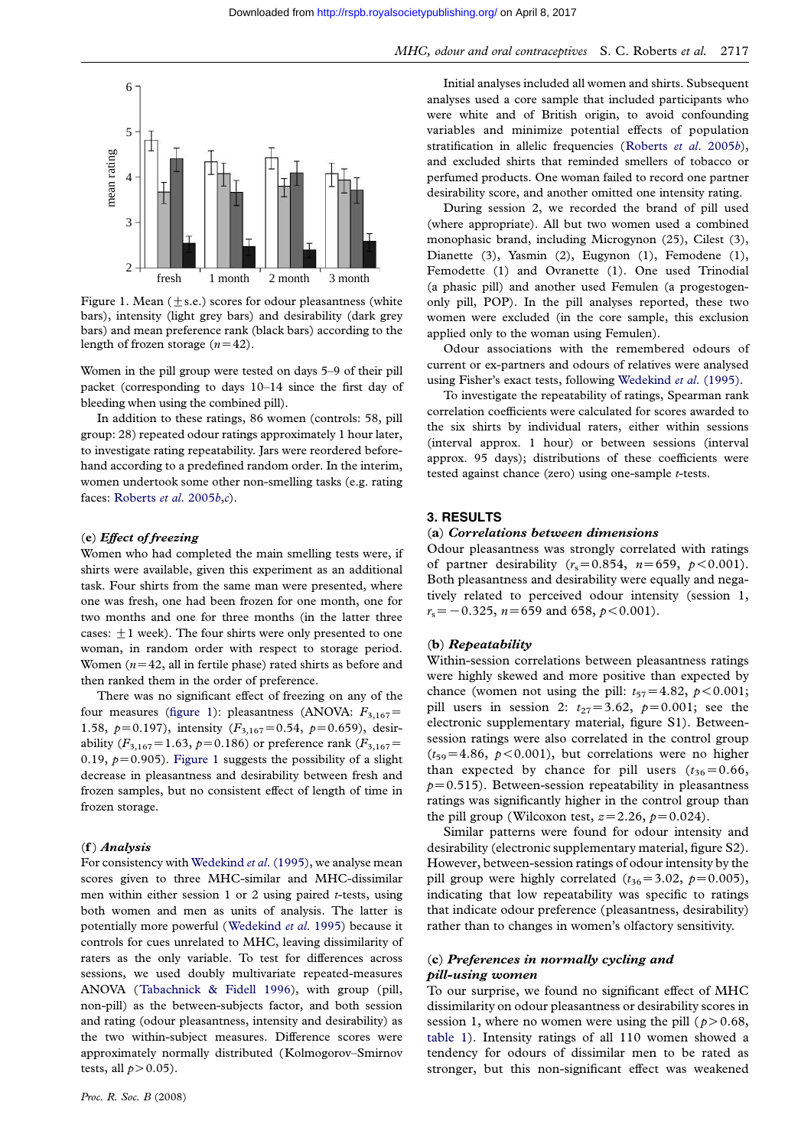

Figure 1. Mean  $(\pm s.e.)$  scores for odour pleasantness (white bars), intensity (light grey bars) and desirability (dark grey bars) and mean preference rank (black bars) according to the length of frozen storage  $(n=42)$ .

Women in the pill group were tested on days 5–9 of their pill packet (corresponding to days 10–14 since the first day of bleeding when using the combined pill).

In addition to these ratings, 86 women (controls: 58, pill group: 28) repeated odour ratings approximately 1 hour later, to investigate rating repeatability. Jars were reordered beforehand according to a predefined random order. In the interim, women undertook some other non-smelling tasks (e.g. rating faces: Roberts et al. 2005b,c).

#### (e) Effect of freezing

Women who had completed the main smelling tests were, if shirts [were available, given](#page-7-0) this experiment as an additional task. Four shirts from the same man were presented, where one was fresh, one had been frozen for one month, one for two months and one for three months (in the latter three cases:  $\pm 1$  week). The four shirts were only presented to one woman, in random order with respect to storage period. Women  $(n=42,$  all in fertile phase) rated shirts as before and then ranked them in the order of preference.

There was no significant effect of freezing on any of the four measures (figure 1): pleasantness (ANOVA:  $F_{3,167}$ = 1.58,  $p=0.197$ ), intensity ( $F_{3,167}=0.54$ ,  $p=0.659$ ), desirability ( $F_{3,167}$ =1.63,  $p=0.186$ ) or preference rank ( $F_{3,167}$ = 0.19,  $p=0.905$ ). Figure 1 suggests the possibility of a slight decrease in pleasantness and desirability between fresh and frozen samples, but no consistent effect of length of time in frozen storage.

#### (f ) Analysis

For consistency with Wedekind et al. (1995), we analyse mean scores given to three MHC-similar and MHC-dissimilar men within either session 1 or 2 using paired  $t$ -tests, using both women and men as units of analysis. The latter is potentially more po[werful \(Wedekind](#page-7-0) et al. 1995) because it controls for cues unrelated to MHC, leaving dissimilarity of raters as the only variable. To test for differences across sessions, we used doubly multivariate repeated-measures ANOVA (Tabachnick & [Fidell 1996\), with g](#page-7-0)roup (pill, non-pill) as the between-subjects factor, and both session and rating (odour pleasantness, intensity and desirability) as the two within-subject measures. Difference scores were approxima[tely normally distributed \(K](#page-7-0)olmogorov–Smirnov tests, all  $p > 0.05$ ).

[Initial anal](http://rspb.royalsocietypublishing.org/)yses included all women and shirts. Subsequent analyses used a core sample that included participants who were white and of British origin, to avoid confounding variables and minimize potential effects of population stratification in allelic frequencies (Roberts et al. 2005b), and excluded shirts that reminded smellers of tobacco or perfumed products. One woman failed to record one partner desirability score, and another omitted one intensity rating.

During session 2, we recorded [the brand of pill use](#page-7-0)d (where appropriate). All but two women used a combined monophasic brand, including Microgynon (25), Cilest (3), Dianette (3), Yasmin (2), Eugynon (1), Femodene (1), Femodette (1) and Ovranette (1). One used Trinodial (a phasic pill) and another used Femulen (a progestogenonly pill, POP). In the pill analyses reported, these two women were excluded (in the core sample, this exclusion applied only to the woman using Femulen).

Odour associations with the remembered odours of current or ex-partners and odours of relatives were analysed using Fisher's exact tests, following Wedekind et al. (1995).

To investigate the repeatability of ratings, Spearman rank correlation coefficients were calculated for scores awarded to the six shirts by individual raters, either within sessions (interval approx. 1 hour) or bet[ween sessions \(interva](#page-7-0)l approx. 95 days); distributions of these coefficients were tested against chance (zero) using one-sample t-tests.

#### 3. RESULTS

#### (a) Correlations between dimensions

Odour pleasantness was strongly correlated with ratings of partner desirability  $(r_s=0.854, n=659, p<0.001)$ . Both pleasantness and desirability were equally and negatively related to perceived odour intensity (session 1,  $r_s = -0.325$ ,  $n = 659$  and 658,  $p < 0.001$ ).

#### (b) Repeatability

Within-session correlations between pleasantness ratings were highly skewed and more positive than expected by chance (women not using the pill:  $t_{57} = 4.82$ ,  $p < 0.001$ ; pill users in session 2:  $t_{27} = 3.62$ ,  $p = 0.001$ ; see the electronic supplementary material, figure S1). Betweensession ratings were also correlated in the control group  $(t_{59}=4.86, p<0.001)$ , but correlations were no higher than expected by chance for pill users  $(t_{36}=0.66,$  $p=0.515$ ). Between-session repeatability in pleasantness ratings was significantly higher in the control group than the pill group (Wilcoxon test,  $z=2.26$ ,  $p=0.024$ ).

Similar patterns were found for odour intensity and desirability (electronic supplementary material, figure S2). However, between-session ratings of odour intensity by the pill group were highly correlated  $(t_{36}=3.02, p=0.005)$ , indicating that low repeatability was specific to ratings that indicate odour preference (pleasantness, desirability) rather than to changes in women's olfactory sensitivity.

## (c) Preferences in normally cycling and pill-using women

To our surprise, we found no significant effect of MHC dissimilarity on odour pleasantness or desirability scores in session 1, where no women were using the pill ( $p > 0.68$ , table 1). Intensity ratings of all 110 women showed a tendency for odours of dissimilar men to be rated as stronger, but this non-significant effect was weakened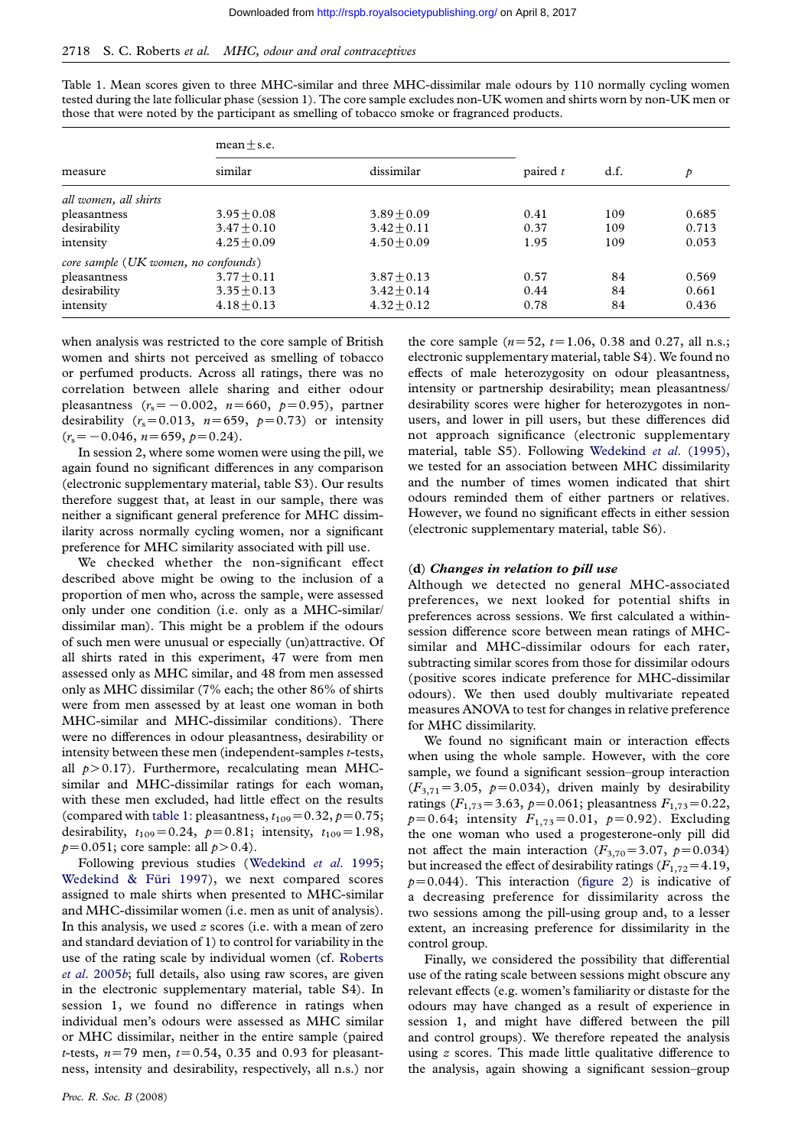Table 1. Mean scores given to three MHC-si[milar](http://rspb.royalsocietypublishing.org/) [and](http://rspb.royalsocietypublishing.org/) [three](http://rspb.royalsocietypublishing.org/) [MHC-dissimilar](http://rspb.royalsocietypublishing.org/) [ma](http://rspb.royalsocietypublishing.org/)le odours by 110 normally cycling women tested during the late follicular phase (session 1). The core sample excludes non-UK women and shirts worn by non-UK men or those that were noted by the participant as smelling of tobacco smoke or fragranced products.

| measure                                | $mean + s.e.$ |               |            |      |       |
|----------------------------------------|---------------|---------------|------------|------|-------|
|                                        | similar       | dissimilar    | paired $t$ | d.f. | p     |
| all women, all shirts                  |               |               |            |      |       |
| pleasantness                           | $3.95 + 0.08$ | $3.89 + 0.09$ | 0.41       | 109  | 0.685 |
| desirability                           | $3.47 + 0.10$ | $3.42 + 0.11$ | 0.37       | 109  | 0.713 |
| intensity                              | $4.25 + 0.09$ | $4.50 + 0.09$ | 1.95       | 109  | 0.053 |
| core sample $(UK$ women, no confounds) |               |               |            |      |       |
| pleasantness                           | $3.77 + 0.11$ | $3.87 + 0.13$ | 0.57       | 84   | 0.569 |
| desirability                           | $3.35 + 0.13$ | $3.42 + 0.14$ | 0.44       | 84   | 0.661 |
| intensity                              | $4.18 + 0.13$ | $4.32 + 0.12$ | 0.78       | 84   | 0.436 |

when analysis was restricted to the core sample of British women and shirts not perceived as smelling of tobacco or perfumed products. Across all ratings, there was no correlation between allele sharing and either odour pleasantness  $(r_s = -0.002, n=660, p=0.95)$ , partner desirability ( $r_s$ =0.013,  $n=659$ ,  $p=0.73$ ) or intensity  $(r_s=-0.046, n=659, p=0.24).$ 

In session 2, where some women were using the pill, we again found no significant differences in any comparison (electronic supplementary material, table S3). Our results therefore suggest that, at least in our sample, there was neither a significant general preference for MHC dissimilarity across normally cycling women, nor a significant preference for MHC similarity associated with pill use.

We checked whether the non-significant effect described above might be owing to the inclusion of a proportion of men who, across the sample, were assessed only under one condition (i.e. only as a MHC-similar/ dissimilar man). This might be a problem if the odours of such men were unusual or especially (un)attractive. Of all shirts rated in this experiment, 47 were from men assessed only as MHC similar, and 48 from men assessed only as MHC dissimilar (7% each; the other 86% of shirts were from men assessed by at least one woman in both MHC-similar and MHC-dissimilar conditions). There were no differences in odour pleasantness, desirability or intensity between these men (independent-samples t-tests, all  $p > 0.17$ ). Furthermore, recalculating mean MHCsimilar and MHC-dissimilar ratings for each woman, with these men excluded, had little effect on the results (compared with table 1: pleasantness,  $t_{109} = 0.32$ ,  $p = 0.75$ ; desirability,  $t_{109} = 0.24$ ,  $p=0.81$ ; intensity,  $t_{109} = 1.98$ ,  $p=0.051$ ; core sample: all  $p>0.4$ ).

Following previous studies (Wedekind et al. 1995; Wedekind & Füri 1997), we next compared scores assigned to male shirts when presented to MHC-similar and MHC-dissimilar women (i.e. men as unit of analysis). In this analysis, we used  $z$  scores [\(i.e. with a mean of zero](#page-7-0) [and standard deviation of 1](#page-7-0)) to control for variability in the use of the rating scale by individual women (cf. Roberts et al. 2005b; full details, also using raw scores, are given in the electronic supplementary material, table S4). In session 1, we found no difference in ratings when individual men's odours were assessed as MH[C similar](#page-7-0) [or MHC dis](#page-7-0)similar, neither in the entire sample (paired *t*-tests,  $n=79$  men,  $t=0.54$ , 0.35 and 0.93 for pleasantness, intensity and desirability, respectively, all n.s.) nor

odours reminded them of either partners or relatives. However, we found no significa[nt effects in either session](#page-7-0) (electronic supplementary material, table S6). (d) Changes in relation to pill use Although we detected no general MHC-associated preferences, we next looked for potential shifts in preferences across sessions. We first calculated a withinsession difference score between mean ratings of MHCsimilar and MHC-dissimilar odours for each rater,

subtracting similar scores from those for dissimilar odours (positive scores indicate preference for MHC-dissimilar odours). We then used doubly multivariate repeated measures ANOVA to test for changes in relative preference for MHC dissimilarity.

the core sample  $(n=52, t=1.06, 0.38$  and 0.27, all n.s.; electronic supplementary material, table S4). We found no effects of male heterozygosity on odour pleasantness, intensity or partnership desirability; mean pleasantness/ desirability scores were higher for heterozygotes in nonusers, and lower in pill users, but these differences did not approach significance (electronic supplementary material, table S5). Following Wedekind et al. (1995), we tested for an association between MHC dissimilarity and the number of times women indicated that shirt

We found no significant main or interaction effects when using the whole sample. However, with the core sample, we found a significant session–group interaction  $(F_{3,71} = 3.05, p=0.034)$ , driven mainly by desirability ratings ( $F_{1,73}$ =3.63, p=0.061; pleasantness  $F_{1,73}$ =0.22,  $p=0.64$ ; intensity  $F_{1,73}=0.01$ ,  $p=0.92$ ). Excluding the one woman who used a progesterone-only pill did not affect the main interaction  $(F_{3,70} = 3.07, p=0.034)$ but increased the effect of desirability ratings  $(F_{1,72}=4.19,$  $p=0.044$ ). This interaction (figure 2) is indicative of a decreasing preference for dissimilarity across the two sessions among the pill-using group and, to a lesser extent, an increasing preference for dissimilarity in the control group.

Finally, we considered the [possibilit](#page-4-0)y that differential use of the rating scale between sessions might obscure any relevant effects (e.g. women's familiarity or distaste for the odours may have changed as a result of experience in session 1, and might have differed between the pill and control groups). We therefore repeated the analysis using z scores. This made little qualitative difference to the analysis, again showing a significant session–group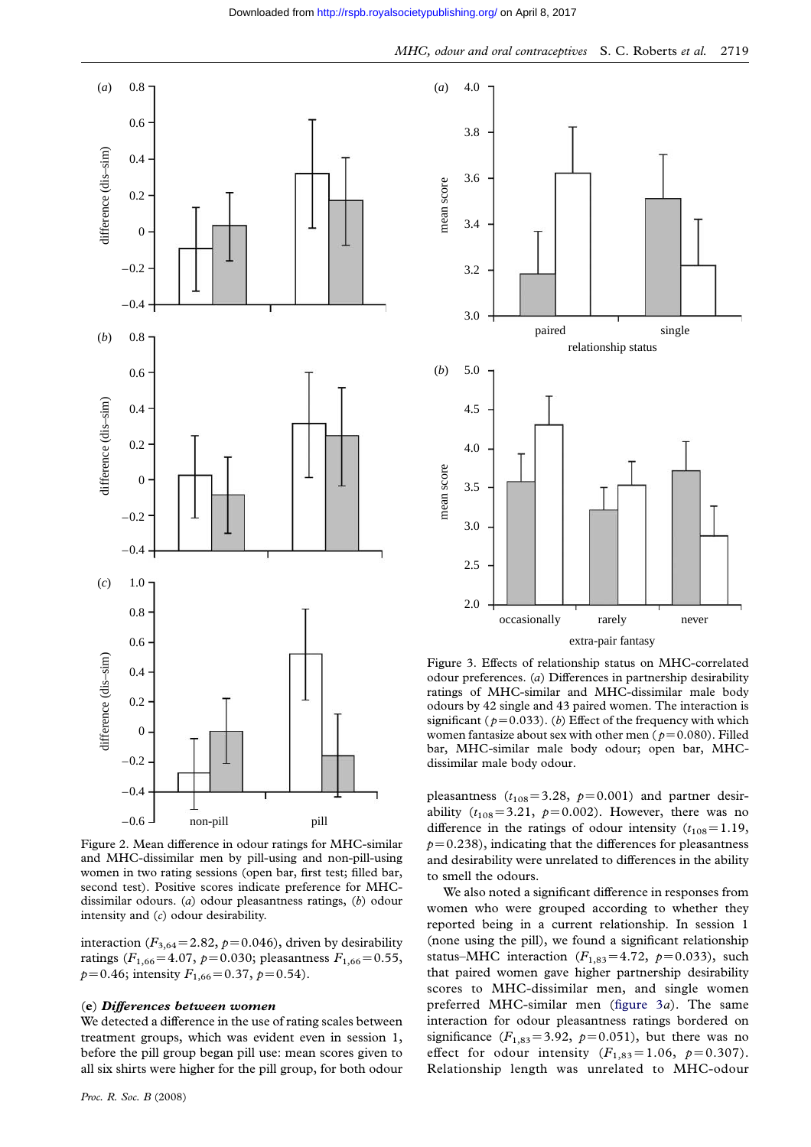<span id="page-4-0"></span>

Figure 2. Mean difference in odour ratings for MHC-similar and MHC-dissimilar men by pill-using and non-pill-using women in two rating sessions (open bar, first test; filled bar, second test). Positive scores indicate preference for MHCdissimilar odours. (a) odour pleasantness ratings, (b) odour intensity and (c) odour desirability.

interaction ( $F_{3,64}$ =2.82, p=0.046), driven by desirability ratings ( $F_{1,66}$ =4.07, p=0.030; pleasantness  $F_{1,66}$ =0.55,  $p=0.46$ ; intensity  $F_{1,66}=0.37$ ,  $p=0.54$ ).

#### (e) Differences between women

We detected a difference in the use of rating scales between treatment groups, which was evident even in session 1, before the pill group began pill use: mean scores given to all six shirts were higher for the pill group, for both odour

![](_page_4_Figure_6.jpeg)

Figure 3. Effects of relationship status on MHC-correlated odour preferences. (a) Differences in partnership desirability ratings of MHC-similar and MHC-dissimilar male body odours by 42 single and 43 paired women. The interaction is significant ( $p=0.033$ ). (b) Effect of the frequency with which women fantasize about sex with other men ( $p=0.080$ ). Filled bar, MHC-similar male body odour; open bar, MHCdissimilar male body odour.

pleasantness  $(t_{108}=3.28, p=0.001)$  and partner desirability  $(t_{108}=3.21, p=0.002)$ . However, there was no difference in the ratings of odour intensity  $(t_{108}=1.19)$ ,  $p=0.238$ ), indicating that the differences for pleasantness and desirability were unrelated to differences in the ability to smell the odours.

We also noted a significant difference in responses from women who were grouped according to whether they reported being in a current relationship. In session 1 (none using the pill), we found a significant relationship status–MHC interaction  $(F_{1,83} = 4.72, p=0.033)$ , such that paired women gave higher partnership desirability scores to MHC-dissimilar men, and single women preferred MHC-similar men (figure 3a). The same interaction for odour pleasantness ratings bordered on significance  $(F_{1,83}=3.92, p=0.051)$ , but there was no effect for odour intensity  $(F_{1,83}=1.06, p=0.307)$ . Relationship length was unrelated to MHC-odour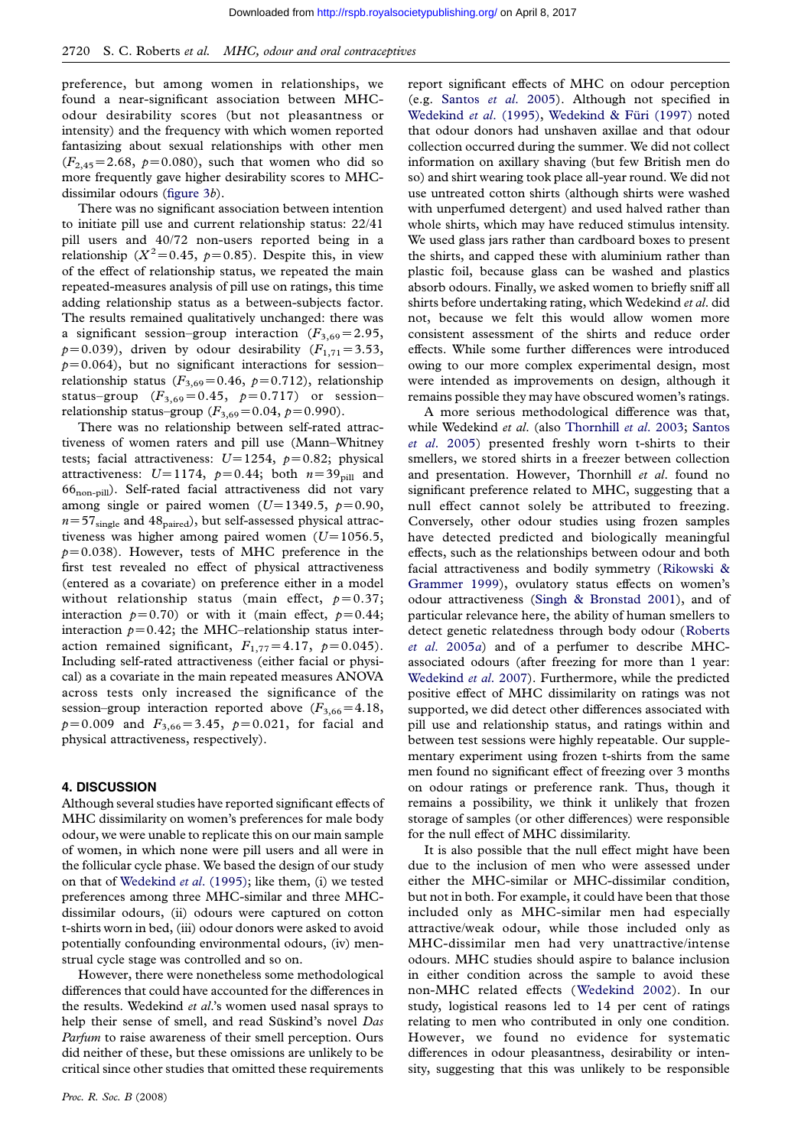preference, but among women in relationships, we found a near-significant association between MHCodour desirability scores (but not pleasantness or intensity) and the frequency with which women reported fantasizing about sexual relationships with other men  $(F_{2,45}=2.68, p=0.080)$ , such that women who did so more frequently gave higher desirability scores to MHCdissimilar odours (figure 3b).

There was no significant association between intention to initiate pill use and current relationship status: 22/41 pill users and 40/72 non-users reported being in a relationship ( $X^2$ =[0.45,](#page-4-0)  $p$ =0.85). Despite this, in view of the effect of relationship status, we repeated the main repeated-measures analysis of pill use on ratings, this time adding relationship status as a between-subjects factor. The results remained qualitatively unchanged: there was a significant session–group interaction  $(F_{3,69}=2.95,$  $p=0.039$ ), driven by odour desirability ( $F_{1,71}=3.53$ ,  $p=0.064$ ), but no significant interactions for session– relationship status ( $F_{3,69}$ =0.46, p=0.712), relationship status–group  $(F_{3,69}=0.45, p=0.717)$  or session– relationship status–group  $(F_{3,69}=0.04, p=0.990)$ .

There was no relationship between self-rated attractiveness of women raters and pill use (Mann–Whitney tests; facial attractiveness:  $U=1254$ ,  $p=0.82$ ; physical attractiveness:  $U=1174$ ,  $p=0.44$ ; both  $n=39$ <sub>pill</sub> and 66non-pill). Self-rated facial attractiveness did not vary among single or paired women ( $U=1349.5$ ,  $p=0.90$ ,  $n=57<sub>single</sub>$  and 48<sub>paired</sub>), but self-assessed physical attractiveness was higher among paired women  $(U=1056.5,$  $p=0.038$ ). However, tests of MHC preference in the first test revealed no effect of physical attractiveness (entered as a covariate) on preference either in a model without relationship status (main effect,  $p=0.37$ ; interaction  $p=0.70$ ) or with it (main effect,  $p=0.44$ ; interaction  $p=0.42$ ; the MHC–relationship status interaction remained significant,  $F_{1,77} = 4.17$ ,  $p=0.045$ ). Including self-rated attractiveness (either facial or physical) as a covariate in the main repeated measures ANOVA across tests only increased the significance of the session–group interaction reported above  $(F_{3,66}=4.18,$  $p=0.009$  and  $F_{3,66}=3.45$ ,  $p=0.021$ , for facial and physical attractiveness, respectively).

#### 4. DISCUSSION

Although several studies have reported significant effects of MHC dissimilarity on women's preferences for male body odour, we were unable to replicate this on our main sample of women, in which none were pill users and all were in the follicular cycle phase. We based the design of our study on that of Wedekind et al. (1995); like them, (i) we tested preferences among three MHC-similar and three MHCdissimilar odours, (ii) odours were captured on cotton t-shirts worn in bed, (iii) odour donors were asked to avoid potentiall[y confounding environm](#page-7-0)ental odours, (iv) menstrual cycle stage was controlled and so on.

However, there were nonetheless some methodological differences that could have accounted for the differences in the results. Wedekind et al.'s women used nasal sprays to help their sense of smell, and read Süskind's novel Das Parfum to raise awareness of their smell perception. Ours did neither of these, but these omissions are unlikely to be critical since other studies that omitted these requirements

[report significan](http://rspb.royalsocietypublishing.org/)t effects of MHC on odour perception (e.g. Santos et al. 2005). Although not specified in Wedekind et al. (1995), Wedekind & Füri (1997) noted that odour donors had unshaven axillae and that odour collection occurred during the summer. We did not collect infor[mation on axillary sh](#page-7-0)aving (but few British men do [so\) and shirt wearing took place all-year round. We d](#page-7-0)id not use untreated cotton shirts (although shirts were washed with unperfumed detergent) and used halved rather than whole shirts, which may have reduced stimulus intensity. We used glass jars rather than cardboard boxes to present the shirts, and capped these with aluminium rather than plastic foil, because glass can be washed and plastics absorb odours. Finally, we asked women to briefly sniff all shirts before undertaking rating, which Wedekind et al. did not, because we felt this would allow women more consistent assessment of the shirts and reduce order effects. While some further differences were introduced owing to our more complex experimental design, most were intended as improvements on design, although it remains possible they may have obscured women's ratings.

A more serious methodological difference was that, while Wedekind et al. (also Thornhill et al. 2003; Santos et al. 2005) presented freshly worn t-shirts to their smellers, we stored shirts in a freezer between collection and presentation. However, Thornhill et al. found no significant preference relate[d to MHC, suggesting that a](#page-7-0) [null effect](#page-7-0) cannot solely be attributed to freezing. Conversely, other odour studies using frozen samples have detected predicted and biologically meaningful effects, such as the relationships between odour and both facial attractiveness and bodily symmetry (Rikowski & Grammer 1999), ovulatory status effects on women's odour attractiveness (Singh & Bronstad 2001), and of particular relevance here, the ability of human smellers to detect genetic relatedness through body odo[ur \(Roberts](#page-7-0) et al[. 2005](#page-7-0)a) and of a perfumer to describe MHCassociated odours (aft[er freezing for more tha](#page-7-0)n 1 year: Wedekind *et al.* 2007). Furthermore, while the predicted positive effect of MHC dissimilarity on ratings [was not](#page-7-0) [supported, w](#page-7-0)e did detect other differences associated with pill use and relationship status, and ratings within and [between test sessions](#page-7-0) were highly repeatable. Our supplementary experiment using frozen t-shirts from the same men found no significant effect of freezing over 3 months on odour ratings or preference rank. Thus, though it remains a possibility, we think it unlikely that frozen storage of samples (or other differences) were responsible for the null effect of MHC dissimilarity.

It is also possible that the null effect might have been due to the inclusion of men who were assessed under either the MHC-similar or MHC-dissimilar condition, but not in both. For example, it could have been that those included only as MHC-similar men had especially attractive/weak odour, while those included only as MHC-dissimilar men had very unattractive/intense odours. MHC studies should aspire to balance inclusion in either condition across the sample to avoid these non-MHC related effects (Wedekind 2002). In our study, logistical reasons led to 14 per cent of ratings relating to men who contributed in only one condition. However, we found no evidence for systematic differences in odour pleasan[tness, desirability](#page-7-0) or intensity, suggesting that this was unlikely to be responsible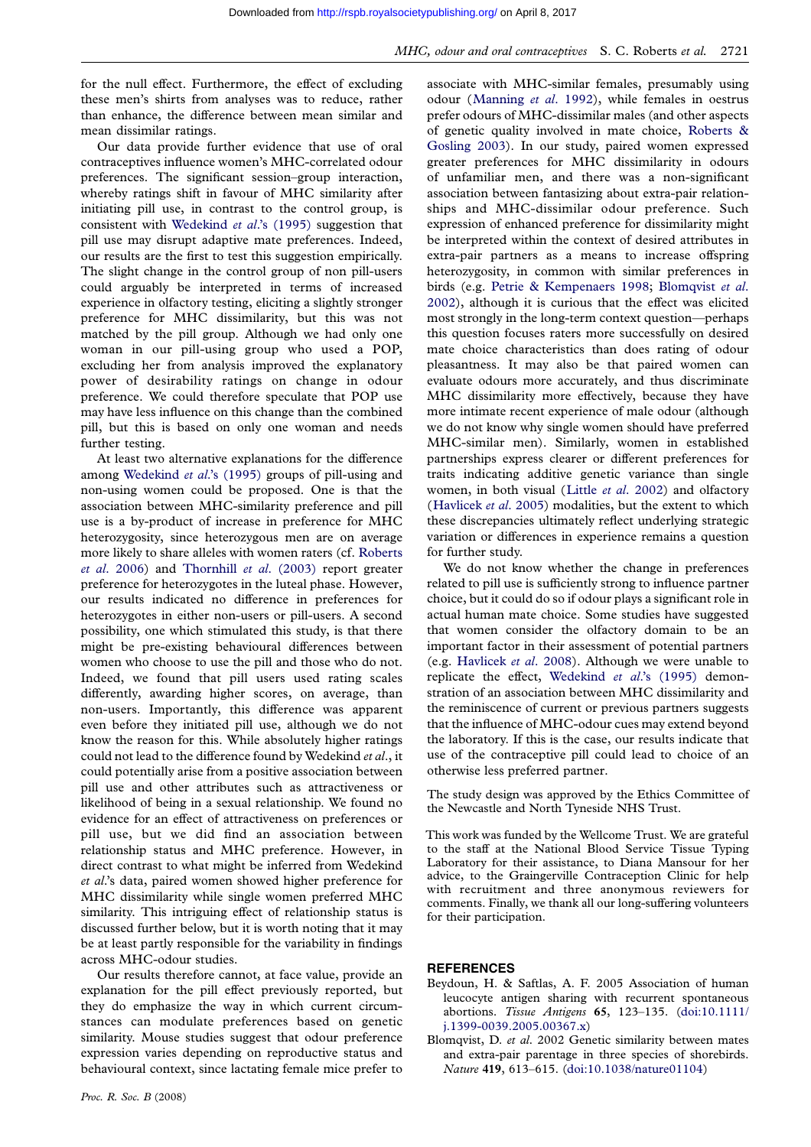<span id="page-6-0"></span>for the null effect. Furthermore, the effe[ct of excluding](http://rspb.royalsocietypublishing.org/) these men's shirts from analyses was to reduce, rather than enhance, the difference between mean similar and mean dissimilar ratings.

Our data provide further evidence that use of oral contraceptives influence women's MHC-correlated odour preferences. The significant session–group interaction, whereby ratings shift in favour of MHC similarity after initiating pill use, in contrast to the control group, is consistent with Wedekind et al.'s (1995) suggestion that pill use may disrupt adaptive mate preferences. Indeed, our results are the first to test this suggestion empirically. The slight change in the control group of non pill-users could arguably [be interpreted in term](#page-7-0)s of increased experience in olfactory testing, eliciting a slightly stronger preference for MHC dissimilarity, but this was not matched by the pill group. Although we had only one woman in our pill-using group who used a POP, excluding her from analysis improved the explanatory power of desirability ratings on change in odour preference. We could therefore speculate that POP use may have less influence on this change than the combined pill, but this is based on only one woman and needs further testing.

At least two alternative explanations for the difference among Wedekind et al.'s (1995) groups of pill-using and non-using women could be proposed. One is that the association between MHC-similarity preference and pill use is a by-product of increase in preference for MHC heteroz[ygosity, since heterozygo](#page-7-0)us men are on average more likely to share alleles with women raters (cf. Roberts et al. 2006) and Thornhill et al. (2003) report greater preference for heterozygotes in the luteal phase. However, our results indicated no difference in preferences for heterozygotes in either non-users or pill-users. [A second](#page-7-0) [possibility,](#page-7-0) one w[hich stimulated this stud](#page-7-0)y, is that there might be pre-existing behavioural differences between women who choose to use the pill and those who do not. Indeed, we found that pill users used rating scales differently, awarding higher scores, on average, than non-users. Importantly, this difference was apparent even before they initiated pill use, although we do not know the reason for this. While absolutely higher ratings could not lead to the difference found by Wedekind et al., it could potentially arise from a positive association between pill use and other attributes such as attractiveness or likelihood of being in a sexual relationship. We found no evidence for an effect of attractiveness on preferences or pill use, but we did find an association between relationship status and MHC preference. However, in direct contrast to what might be inferred from Wedekind et al.'s data, paired women showed higher preference for MHC dissimilarity while single women preferred MHC similarity. This intriguing effect of relationship status is discussed further below, but it is worth noting that it may be at least partly responsible for the variability in findings across MHC-odour studies.

Our results therefore cannot, at face value, provide an explanation for the pill effect previously reported, but they do emphasize the way in which current circumstances can modulate preferences based on genetic similarity. Mouse studies suggest that odour preference expression varies depending on reproductive status and behavioural context, since lactating female mice prefer to

associate with MHC-similar females, presumably using odour (Manning et al. 1992), while females in oestrus prefer odours of MHC-dissimilar males (and other aspects of genetic quality involved in mate choice, Roberts & Gosling 2003). In our study, paired women expressed greater [preferences for MH](#page-7-0)C dissimilarity in odours of unfamiliar men, and there was a non-significant association between fantasizing about extra-p[air relation](#page-7-0)[ships and M](#page-7-0)HC-dissimilar odour preference. Such expression of enhanced preference for dissimilarity might be interpreted within the context of desired attributes in extra-pair partners as a means to increase offspring heterozygosity, in common with similar preferences in birds (e.g. Petrie & Kempenaers 1998; Blomqvist et al. 2002), although it is curious that the effect was elicited most strongly in the long-term context question—perhaps this question focuses raters more successfully on desired mate choi[ce characteristics than does](#page-7-0) rating of odour pleasantness. It may also be that paired women can evaluate odours more accurately, and thus discriminate MHC dissimilarity more effectively, because they have more intimate recent experience of male odour (although we do not know why single women should have preferred MHC-similar men). Similarly, women in established partnerships express clearer or different preferences for traits indicating additive genetic variance than single women, in both visual (Little et al. 2002) and olfactory (Havlicek et al. 2005) modalities, but the extent to which these discrepancies ultimately reflect underlying strategic variation or differences in experience remains a question for further study.

[We do not know](#page-7-0) wh[ether](#page-7-0) [the](#page-7-0) [change](#page-7-0) in preferences related to pill use is sufficiently strong to influence partner choice, but it could do so if odour plays a significant role in actual human mate choice. Some studies have suggested that women consider the olfactory domain to be an important factor in their assessment of potential partners (e.g. Havlicek et al. 2008). Although we were unable to replicate the effect, Wedekind et al.'s (1995) demonstration of an association between MHC dissimilarity and the reminiscence of current or previous partners suggests that t[he influence of MHC](#page-7-0)-odour cues may extend beyond the laboratory. If this [is the case, our results indi](#page-7-0)cate that use of the contraceptive pill could lead to choice of an otherwise less preferred partner.

The study design was approved by the Ethics Committee of the Newcastle and North Tyneside NHS Trust.

This work was funded by the Wellcome Trust. We are grateful to the staff at the National Blood Service Tissue Typing Laboratory for their assistance, to Diana Mansour for her advice, to the Graingerville Contraception Clinic for help with recruitment and three anonymous reviewers for comments. Finally, we thank all our long-suffering volunteers for their participation.

#### **REFERENCES**

- Beydoun, H. & Saftlas, A. F. 2005 Association of human leucocyte antigen sharing with recurrent spontaneous abortions. Tissue Antigens 65, 123–135. (doi:10.1111/ j.1399-0039.2005.00367.x)
- Blomqvist, D. et al. 2002 Genetic similarity between mates and extra-pair parentage in three species of shorebirds. Nature 419, 613–615. (doi:10.1038/nature0[1104\)](http://dx.doi.org/doi:10.1111/j.1399-0039.2005.00367.x)